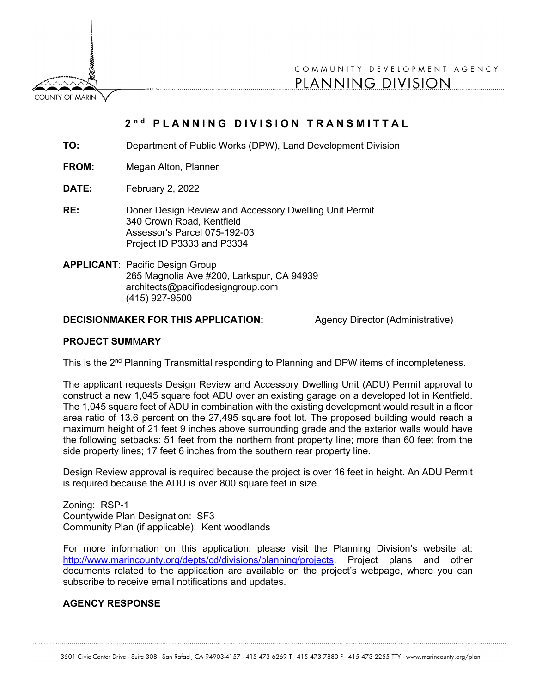**COUNTY OF MARIN** 

COMMUNITY DEVELOPMENT AGENCY PLANNING DIVISION

## **2 n d PLANNING DIVISION TRANSMITTAL**

**TO:** Department of Public Works (DPW), Land Development Division

**FROM:** Megan Alton, Planner

**DATE:** February 2, 2022

**RE:** Doner Design Review and Accessory Dwelling Unit Permit 340 Crown Road, Kentfield Assessor's Parcel 075-192-03 Project ID P3333 and P3334

**APPLICANT**: Pacific Design Group 265 Magnolia Ave #200, Larkspur, CA 94939 architects@pacificdesigngroup.com (415) 927-9500

## **DECISIONMAKER FOR THIS APPLICATION:** Agency Director (Administrative)

## **PROJECT SUM**M**ARY**

This is the 2<sup>nd</sup> Planning Transmittal responding to Planning and DPW items of incompleteness.

The applicant requests Design Review and Accessory Dwelling Unit (ADU) Permit approval to construct a new 1,045 square foot ADU over an existing garage on a developed lot in Kentfield. The 1,045 square feet of ADU in combination with the existing development would result in a floor area ratio of 13.6 percent on the 27,495 square foot lot. The proposed building would reach a maximum height of 21 feet 9 inches above surrounding grade and the exterior walls would have the following setbacks: 51 feet from the northern front property line; more than 60 feet from the side property lines; 17 feet 6 inches from the southern rear property line.

Design Review approval is required because the project is over 16 feet in height. An ADU Permit is required because the ADU is over 800 square feet in size.

Zoning: RSP-1 Countywide Plan Designation: SF3 Community Plan (if applicable): Kent woodlands

For more information on this application, please visit the Planning Division's website at: [http://www.marincounty.org/depts/cd/divisions/planning/projects.](http://www.marincounty.org/depts/cd/divisions/planning/projects) Project plans and other documents related to the application are available on the project's webpage, where you can subscribe to receive email notifications and updates.

## **AGENCY RESPONSE**